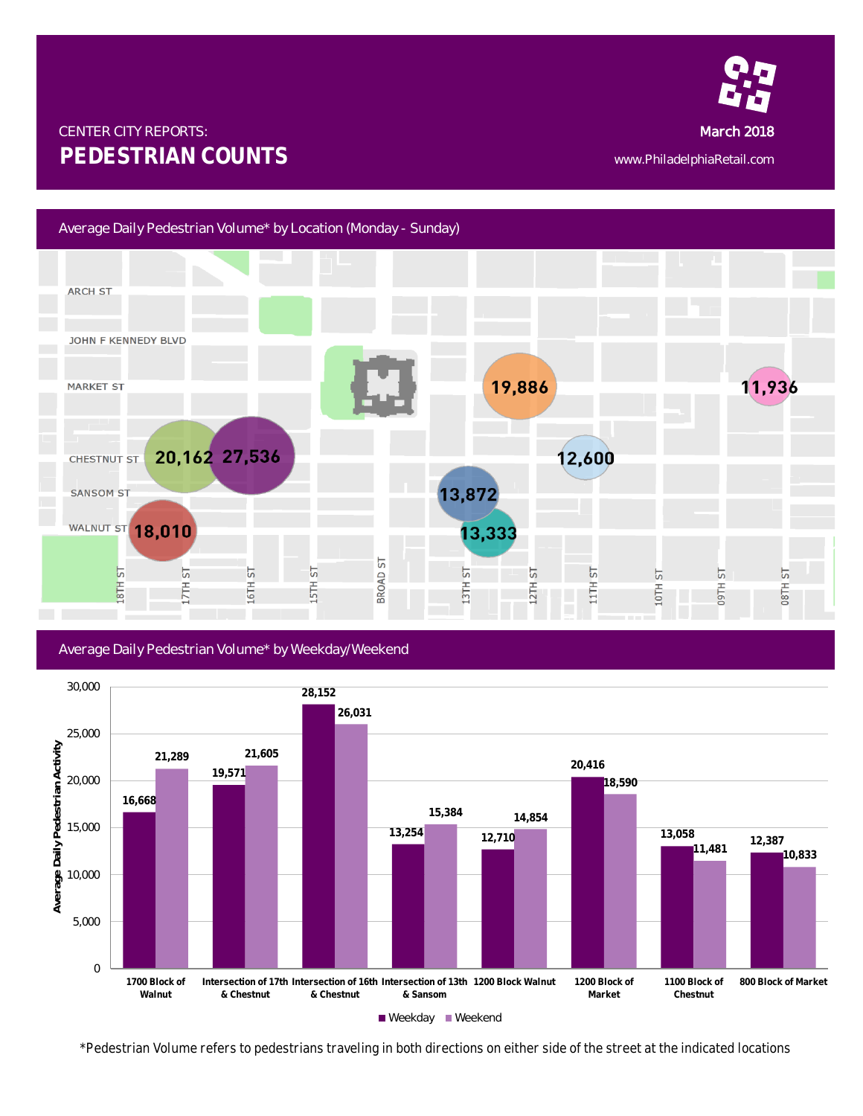

# CENTER CITY REPORTS: MARCH 2018 AND THE CENTER CITY REPORTS: **PEDESTRIAN COUNTS** www.PhiladelphiaRetail.com

# Average Daily Pedestrian Volume\* by Location (Monday - Sunday)



## Average Daily Pedestrian Volume\* by Weekday/Weekend



*\*Pedestrian Volume refers to pedestrians traveling in both directions on either side of the street at the indicated locations*